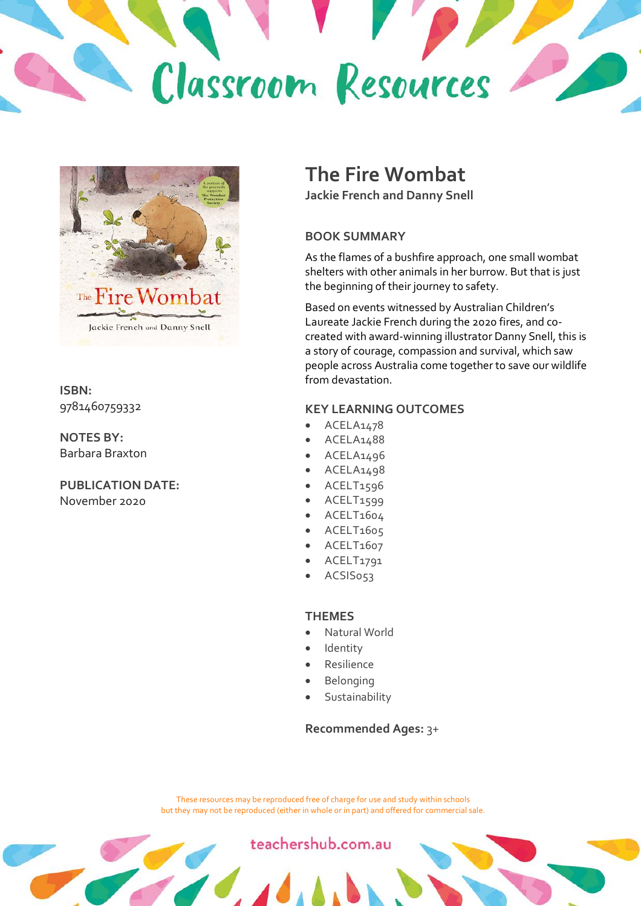



**ISBN:** 9781460759332

**NOTES BY:** Barbara Braxton

**PUBLICATION DATE:** November 2020

#### **The Fire Wombat**

**Jackie French and Danny Snell**

#### **BOOK SUMMARY**

As the flames of a bushfire approach, one small wombat shelters with other animals in her burrow. But that is just the beginning of their journey to safety.

Based on events witnessed by Australian Children's Laureate Jackie French during the 2020 fires, and cocreated with award-winning illustrator Danny Snell, this is a story of courage, compassion and survival, which saw people across Australia come together to save our wildlife from devastation.

#### **KEY LEARNING OUTCOMES**

- ACELA1478
- ACELA1488
- ACELA1496
- ACELA1498
- ACELT1596
- ACELT1599
- ACELT1604
- ACELT1605
- ACELT1607
- ACELT1791
- ACSIS053

#### **THEMES**

- Natural World
- **Identity**
- **Resilience**
- **Belonging**
- **Sustainability**

#### **Recommended Ages:** 3+

These resources may be reproduced free of charge for use and study within schools but they may not be reproduced (either in whole or in part) and offered for commercial sale.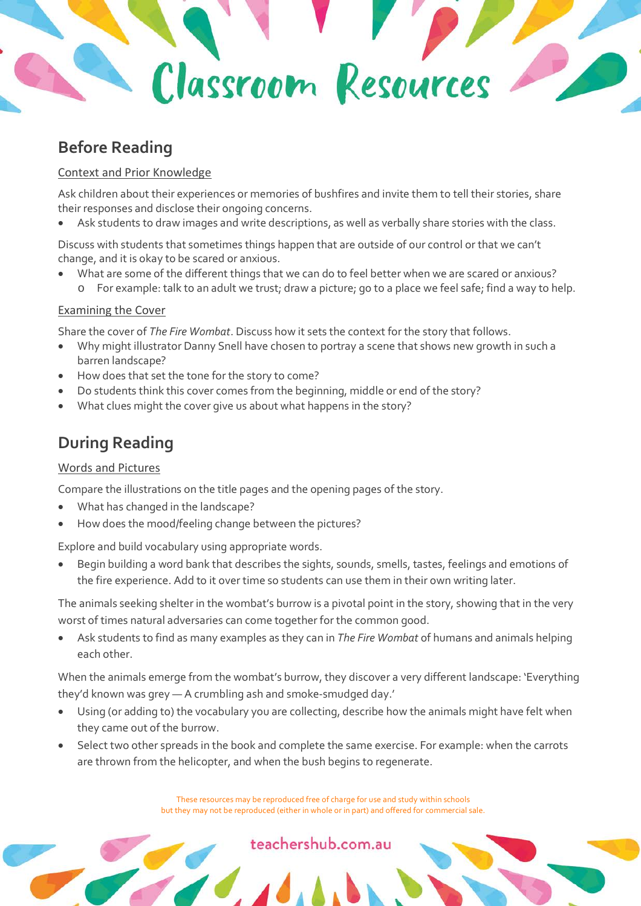# Classroom Resources

#### **Before Reading**

#### Context and Prior Knowledge

Ask children about their experiences or memories of bushfires and invite them to tell their stories, share their responses and disclose their ongoing concerns.

Ask students to draw images and write descriptions, as well as verbally share stories with the class.

Discuss with students that sometimes things happen that are outside of our control or that we can't change, and it is okay to be scared or anxious.

- What are some of the different things that we can do to feel better when we are scared or anxious?
- o For example: talk to an adult we trust; draw a picture; go to a place we feel safe; find a way to help.

#### Examining the Cover

Share the cover of *The Fire Wombat*. Discuss how it sets the context for the story that follows.

- Why might illustrator Danny Snell have chosen to portray a scene that shows new growth in such a barren landscape?
- How does that set the tone for the story to come?
- Do students think this cover comes from the beginning, middle or end of the story?
- What clues might the cover give us about what happens in the story?

#### **During Reading**

#### Words and Pictures

Compare the illustrations on the title pages and the opening pages of the story.

- What has changed in the landscape?
- How does the mood/feeling change between the pictures?

Explore and build vocabulary using appropriate words.

• Begin building a word bank that describes the sights, sounds, smells, tastes, feelings and emotions of the fire experience. Add to it over time so students can use them in their own writing later.

The animals seeking shelter in the wombat's burrow is a pivotal point in the story, showing that in the very worst of times natural adversaries can come together for the common good.

• Ask students to find as many examples as they can in *The Fire Wombat* of humans and animals helping each other.

When the animals emerge from the wombat's burrow, they discover a very different landscape: 'Everything they'd known was grey — A crumbling ash and smoke-smudged day.'

- Using (or adding to) the vocabulary you are collecting, describe how the animals might have felt when they came out of the burrow.
- Select two other spreads in the book and complete the same exercise. For example: when the carrots are thrown from the helicopter, and when the bush begins to regenerate.

These resources may be reproduced free of charge for use and study within schools but they may not be reproduced (either in whole or in part) and offered for commercial sale.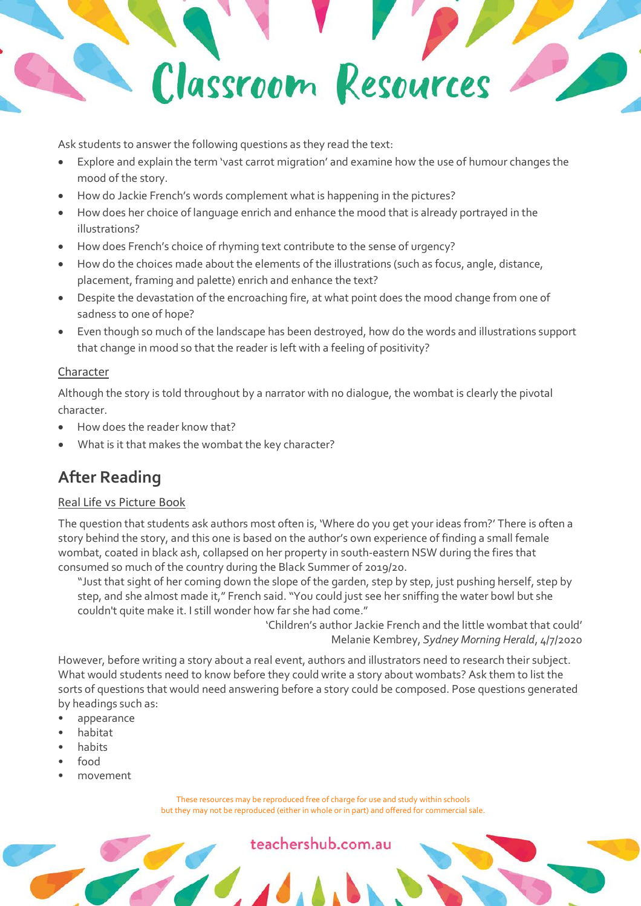

Ask students to answer the following questions as they read the text:

- Explore and explain the term 'vast carrot migration' and examine how the use of humour changes the mood of the story.
- How do Jackie French's words complement what is happening in the pictures?
- How does her choice of language enrich and enhance the mood that is already portrayed in the illustrations?
- How does French's choice of rhyming text contribute to the sense of urgency?
- How do the choices made about the elements of the illustrations (such as focus, angle, distance, placement, framing and palette) enrich and enhance the text?
- Despite the devastation of the encroaching fire, at what point does the mood change from one of sadness to one of hope?
- Even though so much of the landscape has been destroyed, how do the words and illustrations support that change in mood so that the reader is left with a feeling of positivity?

#### Character

Although the story is told throughout by a narrator with no dialogue, the wombat is clearly the pivotal character.

- How does the reader know that?
- What is it that makes the wombat the key character?

#### **After Reading**

#### Real Life vs Picture Book

The question that students ask authors most often is, 'Where do you get your ideas from?' There is often a story behind the story, and this one is based on the author's own experience of finding a small female wombat, coated in black ash, collapsed on her property in south-eastern NSW during the fires that consumed so much of the country during the Black Summer of 2019/20.

"Just that sight of her coming down the slope of the garden, step by step, just pushing herself, step by step, and she almost made it," French said. "You could just see her sniffing the water bowl but she couldn't quite make it. I still wonder how far she had come."

'Children's author Jackie French and the little wombat that could' Melanie Kembrey, *Sydney Morning Herald*, 4/7/2020

However, before writing a story about a real event, authors and illustrators need to research their subject. What would students need to know before they could write a story about wombats? Ask them to list the sorts of questions that would need answering before a story could be composed. Pose questions generated by headings such as:

- appearance
- habitat
- habits
- food
- movement

These resources may be reproduced free of charge for use and study within schools but they may not be reproduced (either in whole or in part) and offered for commercial sale.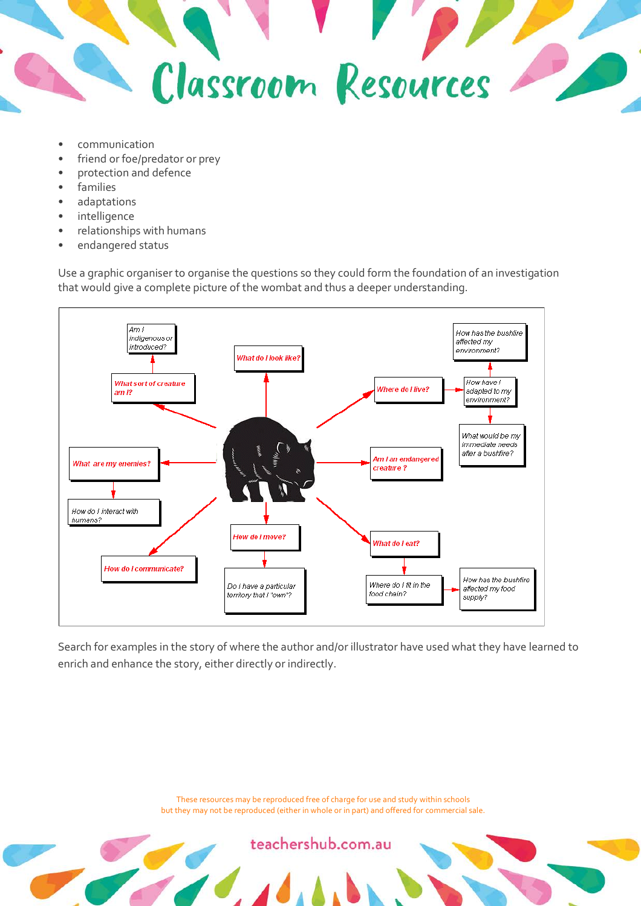

- communication
- friend or foe/predator or prey
- protection and defence
- families
- adaptations
- intelligence
- relationships with humans
- endangered status

Use a graphic organiser to organise the questions so they could form the foundation of an investigation that would give a complete picture of the wombat and thus a deeper understanding.



Search for examples in the story of where the author and/or illustrator have used what they have learned to enrich and enhance the story, either directly or indirectly.

> These resources may be reproduced free of charge for use and study within schools but they may not be reproduced (either in whole or in part) and offered for commercial sale.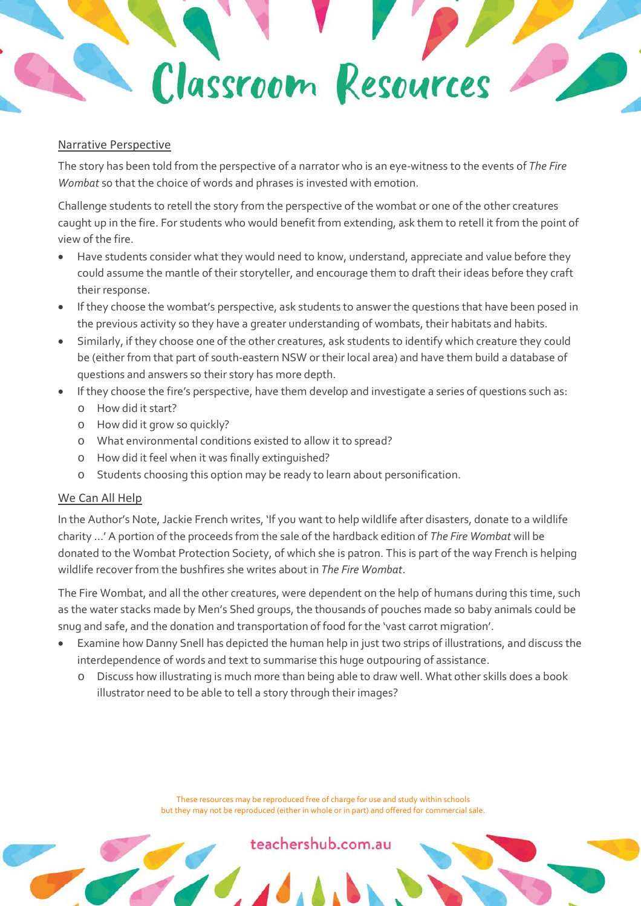### Classroom Resources

#### Narrative Perspective

The story has been told from the perspective of a narrator who is an eye-witness to the events of *The Fire Wombat* so that the choice of words and phrases is invested with emotion.

Challenge students to retell the story from the perspective of the wombat or one of the other creatures caught up in the fire. For students who would benefit from extending, ask them to retell it from the point of view of the fire.

- Have students consider what they would need to know, understand, appreciate and value before they could assume the mantle of their storyteller, and encourage them to draft their ideas before they craft their response.
- If they choose the wombat's perspective, ask students to answer the questions that have been posed in the previous activity so they have a greater understanding of wombats, their habitats and habits.
- Similarly, if they choose one of the other creatures, ask students to identify which creature they could be (either from that part of south-eastern NSW or their local area) and have them build a database of questions and answers so their story has more depth.
- If they choose the fire's perspective, have them develop and investigate a series of questions such as:
	- o How did it start?
	- o How did it grow so quickly?
	- o What environmental conditions existed to allow it to spread?
	- o How did it feel when it was finally extinguished?
	- o Students choosing this option may be ready to learn about personification.

#### We Can All Help

In the Author's Note, Jackie French writes, 'If you want to help wildlife after disasters, donate to a wildlife charity …' A portion of the proceeds from the sale of the hardback edition of *The Fire Wombat* will be donated to the Wombat Protection Society, of which she is patron. This is part of the way French is helping wildlife recover from the bushfires she writes about in *The Fire Wombat*.

The Fire Wombat, and all the other creatures, were dependent on the help of humans during this time, such as the water stacks made by Men's Shed groups, the thousands of pouches made so baby animals could be snug and safe, and the donation and transportation of food for the 'vast carrot migration'.

- Examine how Danny Snell has depicted the human help in just two strips of illustrations, and discuss the interdependence of words and text to summarise this huge outpouring of assistance.
	- Discuss how illustrating is much more than being able to draw well. What other skills does a book illustrator need to be able to tell a story through their images?

These resources may be reproduced free of charge for use and study within schools but they may not be reproduced (either in whole or in part) and offered for commercial sale.